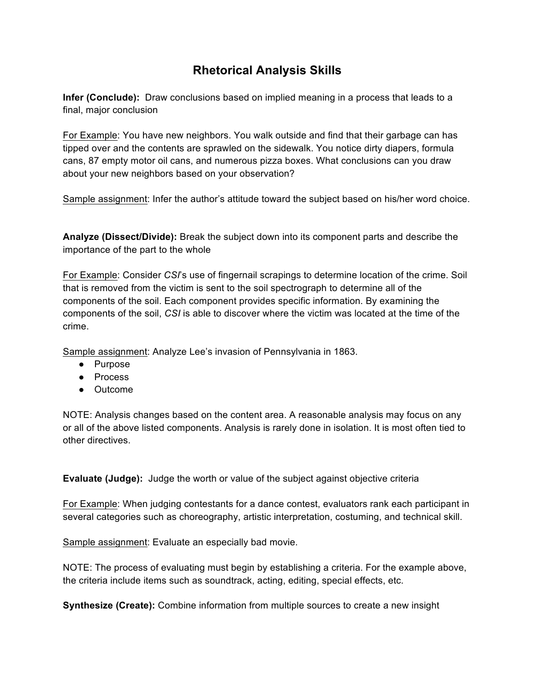## **Rhetorical Analysis Skills**

**Infer (Conclude):** Draw conclusions based on implied meaning in a process that leads to a final, major conclusion

For Example: You have new neighbors. You walk outside and find that their garbage can has tipped over and the contents are sprawled on the sidewalk. You notice dirty diapers, formula cans, 87 empty motor oil cans, and numerous pizza boxes. What conclusions can you draw about your new neighbors based on your observation?

Sample assignment: Infer the author's attitude toward the subject based on his/her word choice.

**Analyze (Dissect/Divide):** Break the subject down into its component parts and describe the importance of the part to the whole

For Example: Consider *CSI*'s use of fingernail scrapings to determine location of the crime. Soil that is removed from the victim is sent to the soil spectrograph to determine all of the components of the soil. Each component provides specific information. By examining the components of the soil, *CSI* is able to discover where the victim was located at the time of the crime.

Sample assignment: Analyze Lee's invasion of Pennsylvania in 1863.

- Purpose
- Process
- Outcome

NOTE: Analysis changes based on the content area. A reasonable analysis may focus on any or all of the above listed components. Analysis is rarely done in isolation. It is most often tied to other directives.

**Evaluate (Judge):** Judge the worth or value of the subject against objective criteria

For Example: When judging contestants for a dance contest, evaluators rank each participant in several categories such as choreography, artistic interpretation, costuming, and technical skill.

Sample assignment: Evaluate an especially bad movie.

NOTE: The process of evaluating must begin by establishing a criteria. For the example above, the criteria include items such as soundtrack, acting, editing, special effects, etc.

**Synthesize (Create):** Combine information from multiple sources to create a new insight